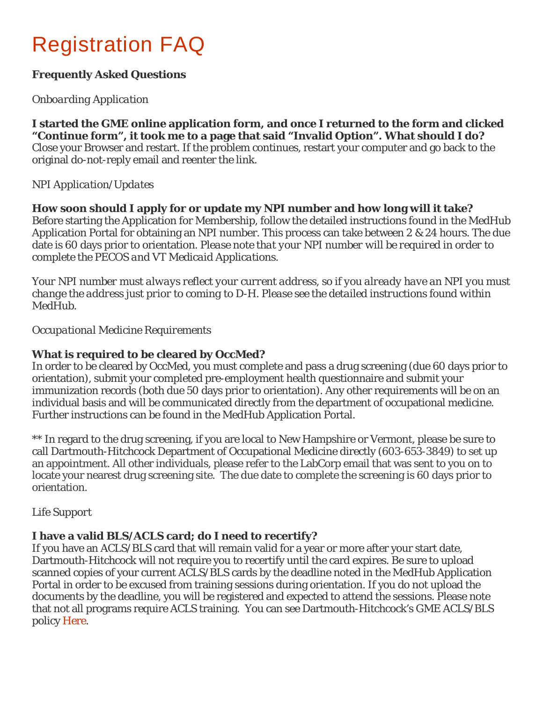# Registration FAQ

# **Frequently Asked Questions**

## *Onboarding Application*

**I started the GME online application form, and once I returned to the form and clicked "Continue form", it took me to a page that said "Invalid Option". What should I do?** Close your Browser and restart. If the problem continues, restart your computer and go back to the original do-not-reply email and reenter the link.

#### *NPI Application/Updates*

**How soon should I apply for or update my NPI number and how long will it take?** Before starting the Application for Membership, follow the detailed instructions found in the MedHub Application Portal for obtaining an NPI number. This process can take between 2 & 24 hours. The due date is 60 days prior to orientation. *Please note that your NPI number will be required in order to complete the PECOS and VT Medicaid Applications.*

*Your NPI number must always reflect your current address, so if you already have an NPI you must change the address just prior to coming to D-H. Please see the detailed instructions found within MedHub.*

*Occupational Medicine Requirements*

## **What is required to be cleared by OccMed?**

In order to be cleared by OccMed, you must complete and pass a drug screening (due 60 days prior to orientation), submit your completed pre-employment health questionnaire and submit your immunization records (both due 50 days prior to orientation). Any other requirements will be on an individual basis and will be communicated directly from the department of occupational medicine. Further instructions can be found in the MedHub Application Portal.

\*\* In regard to the drug screening, if you are local to New Hampshire or Vermont, please be sure to call Dartmouth-Hitchcock Department of Occupational Medicine directly (603-653-3849) to set up an appointment. All other individuals, please refer to the LabCorp email that was sent to you on to locate your nearest drug screening site. The due date to complete the screening is 60 days prior to orientation.

#### *Life Support*

#### **I have a valid BLS/ACLS card; do I need to recertify?**

If you have an ACLS/BLS card that will remain valid for a year or more after your start date, Dartmouth-Hitchcock will not require you to recertify until the card expires. Be sure to upload scanned copies of your current ACLS/BLS cards by the deadline noted in the MedHub Application Portal in order to be excused from training sessions during orientation. If you do not upload the documents by the deadline, you will be registered and expected to attend the sessions. Please note that not all programs require ACLS training. You can see Dartmouth-Hitchcock's GME ACLS/BLS policy [Here.](http://gme.dartmouth-hitchcock.org/documents/pdf/GME-ACLS-BLS-Requirements-OFF-CYCLE-AND-VISITING-RESIDENTS.pdf)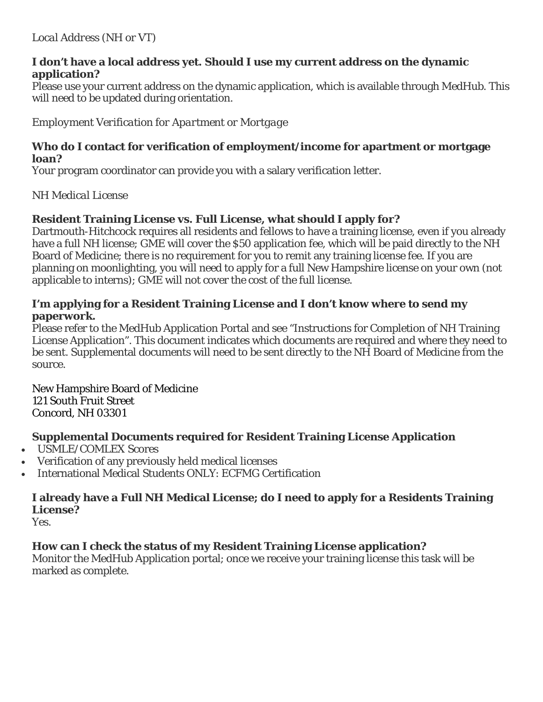#### **I don't have a local address yet. Should I use my current address on the dynamic application?**

Please use your current address on the dynamic application, which is available through MedHub. This will need to be updated during orientation.

*Employment Verification for Apartment or Mortgage*

#### **Who do I contact for verification of employment/income for apartment or mortgage loan?**

Your program coordinator can provide you with a salary verification letter.

*NH Medical License*

# **Resident Training License vs. Full License, what should I apply for?**

Dartmouth-Hitchcock requires all residents and fellows to have a training license, even if you already have a full NH license; GME will cover the \$50 application fee, which will be paid directly to the NH Board of Medicine; there is no requirement for you to remit any training license fee. If you are planning on moonlighting, you will need to apply for a full New Hampshire license on your own (not applicable to interns); GME will not cover the cost of the full license.

## **I'm applying for a Resident Training License and I don't know where to send my paperwork.**

Please refer to the MedHub Application Portal and see "Instructions for Completion of NH Training License Application". This document indicates which documents are required and where they need to be sent. Supplemental documents will need to be sent directly to the NH Board of Medicine from the source.

New Hampshire Board of Medicine 121 South Fruit Street Concord, NH 03301

# **Supplemental Documents required for Resident Training License Application**

- USMLE/COMLEX Scores
- Verification of any previously held medical licenses
- International Medical Students ONLY: ECFMG Certification

# **I already have a Full NH Medical License; do I need to apply for a Residents Training License?**

Yes.

# **How can I check the status of my Resident Training License application?**

Monitor the MedHub Application portal; once we receive your training license this task will be marked as complete.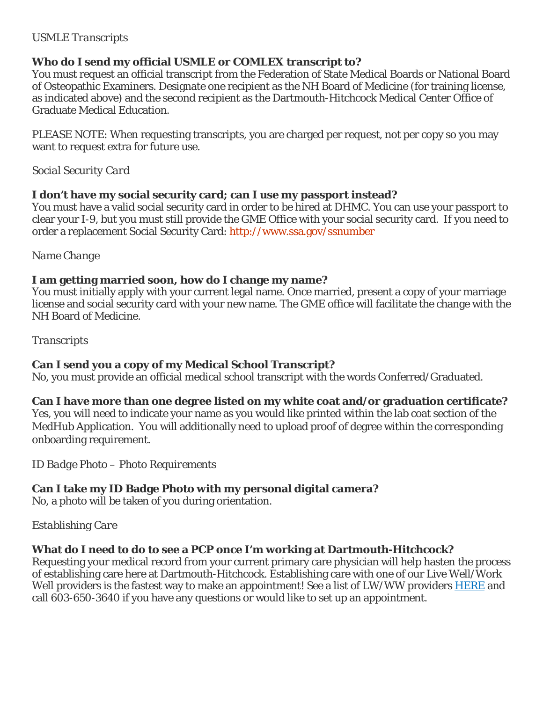## *USMLE Transcripts*

# **Who do I send my official USMLE or COMLEX transcript to?**

You must request an official transcript from the Federation of State Medical Boards or National Board of Osteopathic Examiners. Designate one recipient as the NH Board of Medicine (for training license, as indicated above) and the second recipient as the Dartmouth-Hitchcock Medical Center Office of Graduate Medical Education.

PLEASE NOTE: When requesting transcripts, you are charged per request, not per copy so you may want to request extra for future use.

*Social Security Card*

## **I don't have my social security card; can I use my passport instead?**

You must have a valid social security card in order to be hired at DHMC. You can use your passport to clear your I-9, but you must still provide the GME Office with your social security card. If you need to order a replacement Social Security Card:<http://www.ssa.gov/ssnumber>

*Name Change*

## **I am getting married soon, how do I change my name?**

You must initially apply with your current legal name. Once married, present a copy of your marriage license and social security card with your new name. The GME office will facilitate the change with the NH Board of Medicine.

## *Transcripts*

# **Can I send you a copy of my Medical School Transcript?**

No, you must provide an official medical school transcript with the words Conferred/Graduated.

# **Can I have more than one degree listed on my white coat and/or graduation certificate?**

Yes, you will need to indicate your name as you would like printed within the lab coat section of the MedHub Application. You will additionally need to upload proof of degree within the corresponding onboarding requirement.

#### *ID Badge Photo – Photo Requirements*

# **Can I take my ID Badge Photo with my personal digital camera?**

No, a photo will be taken of you during orientation.

# *Establishing Care*

# **What do I need to do to see a PCP once I'm working at Dartmouth-Hitchcock?**

Requesting your medical record from your current primary care physician will help hasten the process of establishing care here at Dartmouth-Hitchcock. Establishing care with one of our Live Well/Work Well providers is the fastest way to make an appointment! See a list of LW/WW providers [HERE](http://www.dartmouth-hitchcock.org/findaprovider.html#/team?teamId=597) and call 603-650-3640 if you have any questions or would like to set up an appointment.